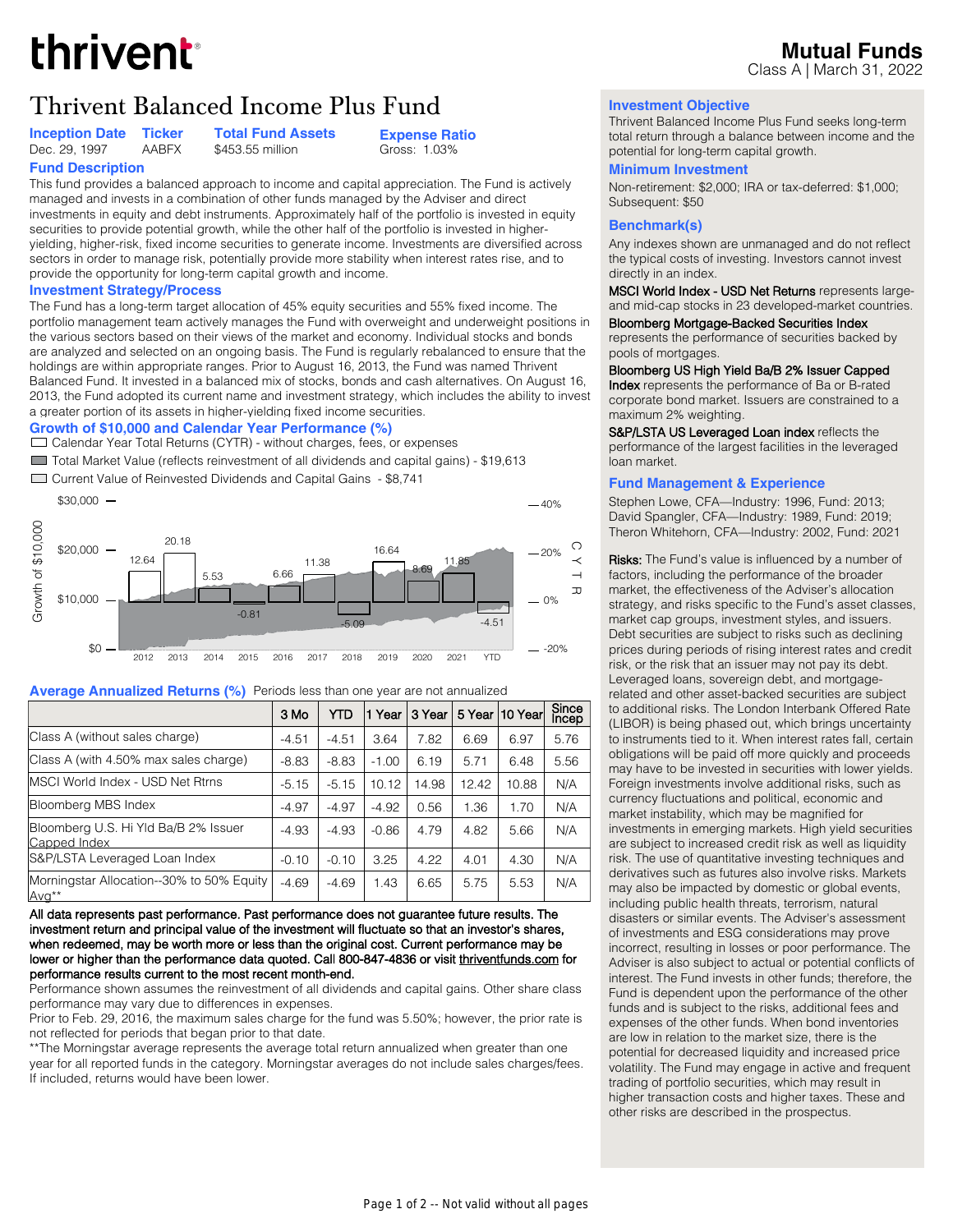# thrivent

## Thrivent Balanced Income Plus Fund **Investment Objective**

\$453.55 million

**Inception Date Ficker Fotal Fund Assets**<br>Dec. 29. 1997 AABFX \$453.55 million

**Expense Ratio** Gross: 1.03%

#### **Fund Description** This fund provides a balanced approach to income and capital appreciation. The Fund is actively managed and invests in a combination of other funds managed by the Adviser and direct investments in equity and debt instruments. Approximately half of the portfolio is invested in equity securities to provide potential growth, while the other half of the portfolio is invested in higheryielding, higher-risk, fixed income securities to generate income. Investments are diversified across sectors in order to manage risk, potentially provide more stability when interest rates rise, and to provide the opportunity for long-term capital growth and income.

#### **Investment Strategy/Process**

The Fund has a long-term target allocation of 45% equity securities and 55% fixed income. The portfolio management team actively manages the Fund with overweight and underweight positions in the various sectors based on their views of the market and economy. Individual stocks and bonds are analyzed and selected on an ongoing basis. The Fund is regularly rebalanced to ensure that the holdings are within appropriate ranges. Prior to August 16, 2013, the Fund was named Thrivent Balanced Fund. It invested in a balanced mix of stocks, bonds and cash alternatives. On August 16, 2013, the Fund adopted its current name and investment strategy, which includes the ability to invest a greater portion of its assets in higher-yielding fixed income securities.

#### **Growth of \$10,000 and Calendar Year Performance (%)**

Calendar Year Total Returns (CYTR) - without charges, fees, or expenses

■ Total Market Value (reflects reinvestment of all dividends and capital gains) - \$19,613

Current Value of Reinvested Dividends and Capital Gains - \$8,741



#### **Average Annualized Returns (%)** Periods less than one year are not annualized

|                                                                | 3 Mo    | YTD     | Year    | 3 Year | 5 Year | 10 Yearl | Since<br>Incep |
|----------------------------------------------------------------|---------|---------|---------|--------|--------|----------|----------------|
| Class A (without sales charge)                                 | $-4.51$ | $-4.51$ | 3.64    | 7.82   | 6.69   | 6.97     | 5.76           |
| Class A (with 4.50% max sales charge)                          | $-8.83$ | $-8.83$ | $-1.00$ | 6.19   | 5.71   | 6.48     | 5.56           |
| <b>IMSCI World Index - USD Net Rtrns</b>                       | $-5.15$ | $-5.15$ | 10.12   | 14.98  | 12.42  | 10.88    | N/A            |
| Bloomberg MBS Index                                            | $-4.97$ | $-4.97$ | $-4.92$ | 0.56   | 1.36   | 1.70     | N/A            |
| Bloomberg U.S. Hi Yld Ba/B 2% Issuer<br>Capped Index           | $-4.93$ | $-4.93$ | $-0.86$ | 4.79   | 4.82   | 5.66     | N/A            |
| S&P/LSTA Leveraged Loan Index                                  | $-0.10$ | $-0.10$ | 3.25    | 4.22   | 4.01   | 4.30     | N/A            |
| Morningstar Allocation--30% to 50% Equity<br>Avg <sup>**</sup> | $-4.69$ | $-4.69$ | 1.43    | 6.65   | 5.75   | 5.53     | N/A            |

**All data represents past performance. Past performance does not guarantee future results. The investment return and principal value of the investment will fluctuate so that an investor's shares, when redeemed, may be worth more or less than the original cost. Current performance may be lower or higher than the performance data quoted. Call 800-847-4836 or visit [thriventfunds.com fo](https://www.thriventfunds.com/mutual-funds/performance-summary.html)r performance results current to the most recent month-end.**

Performance shown assumes the reinvestment of all dividends and capital gains. Other share class performance may vary due to differences in expenses.

Prior to Feb. 29, 2016, the maximum sales charge for the fund was 5.50%; however, the prior rate is not reflected for periods that began prior to that date.

\*\*The Morningstar average represents the average total return annualized when greater than one year for all reported funds in the category. Morningstar averages do not include sales charges/fees. If included, returns would have been lower.

Thrivent Balanced Income Plus Fund seeks long-term total return through a balance between income and the potential for long-term capital growth.

#### **Minimum Investment**

Non-retirement: \$2,000; IRA or tax-deferred: \$1,000; Subsequent: \$50

#### **Benchmark(s)**

Any indexes shown are unmanaged and do not reflect the typical costs of investing. Investors cannot invest directly in an index.

**MSCI World Index - USD Net Returns** represents largeand mid-cap stocks in 23 developed-market countries.

**Bloomberg Mortgage-Backed Securities Index**

represents the performance of securities backed by pools of mortgages.

#### **Bloomberg US High Yield Ba/B 2% Issuer Capped**

**Index** represents the performance of Ba or B-rated corporate bond market. Issuers are constrained to a maximum 2% weighting.

**S&P/LSTA US Leveraged Loan index** reflects the performance of the largest facilities in the leveraged loan market.

#### **Fund Management & Experience**

Stephen Lowe, CFA—Industry: 1996, Fund: 2013; David Spangler, CFA—Industry: 1989, Fund: 2019; Theron Whitehorn, CFA—Industry: 2002, Fund: 2021

**Risks:** The Fund's value is influenced by a number of factors, including the performance of the broader market, the effectiveness of the Adviser's allocation strategy, and risks specific to the Fund's asset classes, market cap groups, investment styles, and issuers. Debt securities are subject to risks such as declining prices during periods of rising interest rates and credit risk, or the risk that an issuer may not pay its debt. Leveraged loans, sovereign debt, and mortgagerelated and other asset-backed securities are subject to additional risks. The London Interbank Offered Rate (LIBOR) is being phased out, which brings uncertainty to instruments tied to it. When interest rates fall, certain obligations will be paid off more quickly and proceeds may have to be invested in securities with lower yields. Foreign investments involve additional risks, such as currency fluctuations and political, economic and market instability, which may be magnified for investments in emerging markets. High yield securities are subject to increased credit risk as well as liquidity risk. The use of quantitative investing techniques and derivatives such as futures also involve risks. Markets may also be impacted by domestic or global events, including public health threats, terrorism, natural disasters or similar events. The Adviser's assessment of investments and ESG considerations may prove incorrect, resulting in losses or poor performance. The Adviser is also subject to actual or potential conflicts of interest. The Fund invests in other funds; therefore, the Fund is dependent upon the performance of the other funds and is subject to the risks, additional fees and expenses of the other funds. When bond inventories are low in relation to the market size, there is the potential for decreased liquidity and increased price volatility. The Fund may engage in active and frequent trading of portfolio securities, which may result in higher transaction costs and higher taxes. These and other risks are described in the prospectus.

#### **Mutual Funds** Class A | March 31, 2022